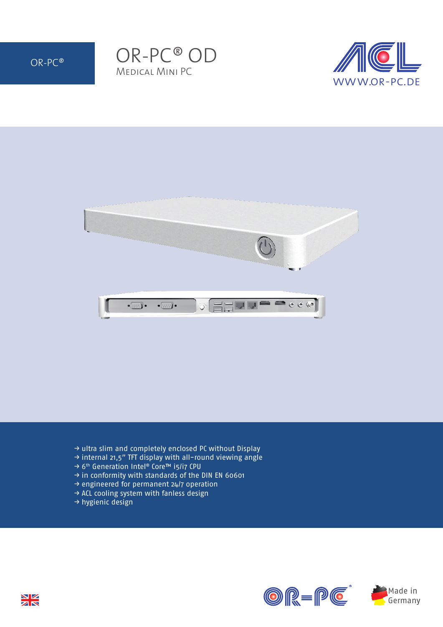







- → ultra slim and completely enclosed PC without Display
- → internal 21,5" TFT display with all-round viewing angle
- → 6th Generation Intel® Core™ i5/i7 CPU
- → in conformity with standards of the DIN EN 60601
- → engineered for permanent 24/7 operation
- → ACL cooling system with fanless design
- → hygienic design